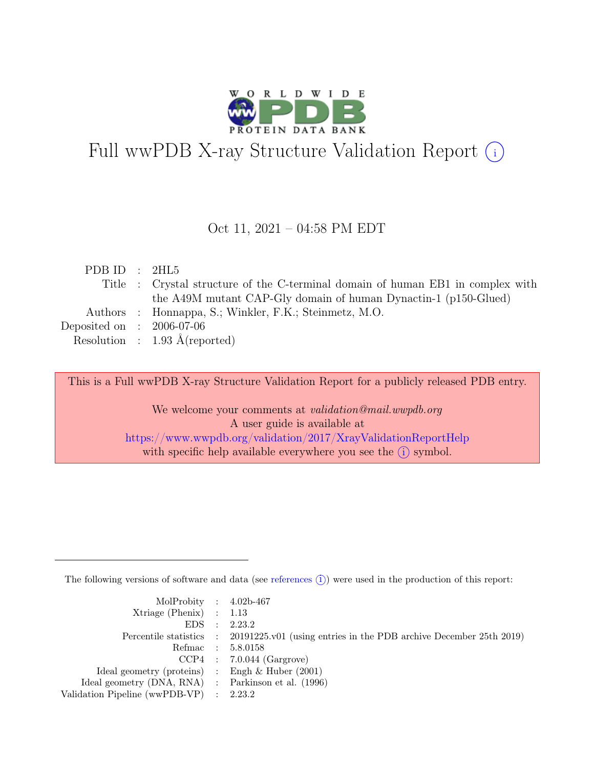

# Full wwPDB X-ray Structure Validation Report  $(i)$

#### Oct 11, 2021 – 04:58 PM EDT

| Title : Crystal structure of the C-terminal domain of human EB1 in complex with |
|---------------------------------------------------------------------------------|
| the A49M mutant CAP-Gly domain of human Dynactin-1 (p150-Glued)                 |
|                                                                                 |
|                                                                                 |
|                                                                                 |
|                                                                                 |

This is a Full wwPDB X-ray Structure Validation Report for a publicly released PDB entry.

We welcome your comments at *validation@mail.wwpdb.org* A user guide is available at <https://www.wwpdb.org/validation/2017/XrayValidationReportHelp> with specific help available everywhere you see the  $(i)$  symbol.

The following versions of software and data (see [references](https://www.wwpdb.org/validation/2017/XrayValidationReportHelp#references)  $(i)$ ) were used in the production of this report:

| MolProbity : $4.02b-467$                            |                                                                                            |
|-----------------------------------------------------|--------------------------------------------------------------------------------------------|
| $Xtriangle (Phenix)$ : 1.13                         |                                                                                            |
|                                                     | EDS : 2.23.2                                                                               |
|                                                     | Percentile statistics : 20191225.v01 (using entries in the PDB archive December 25th 2019) |
|                                                     | Refmac : 5.8.0158                                                                          |
|                                                     | $CCP4$ : 7.0.044 (Gargrove)                                                                |
| Ideal geometry (proteins) : Engh $\&$ Huber (2001)  |                                                                                            |
| Ideal geometry (DNA, RNA) : Parkinson et al. (1996) |                                                                                            |
| Validation Pipeline (wwPDB-VP) : 2.23.2             |                                                                                            |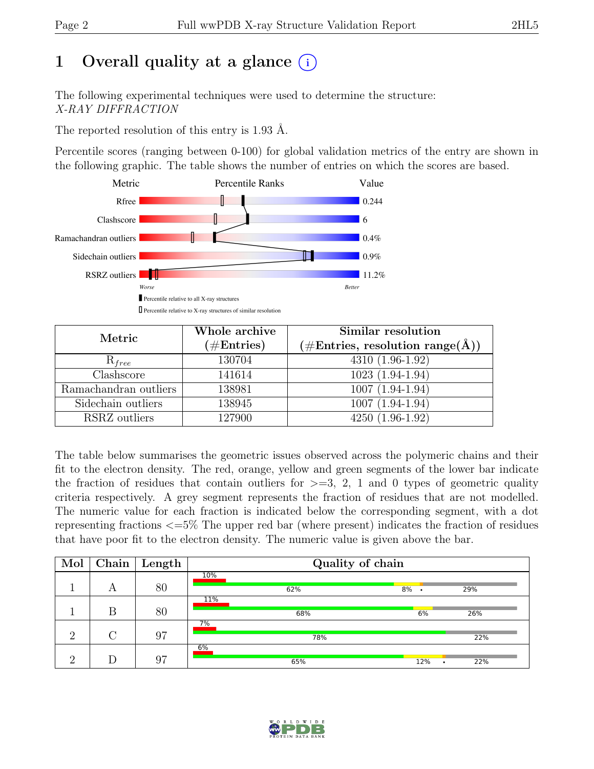## 1 Overall quality at a glance  $(i)$

The following experimental techniques were used to determine the structure: X-RAY DIFFRACTION

The reported resolution of this entry is 1.93 Å.

Percentile scores (ranging between 0-100) for global validation metrics of the entry are shown in the following graphic. The table shows the number of entries on which the scores are based.



| Metric                    | Whole archive<br>$(\#Entries)$ | Similar resolution<br>$(\# \text{Entries}, \text{ resolution } \text{range}(\AA))$ |
|---------------------------|--------------------------------|------------------------------------------------------------------------------------|
| $R_{free}$                | 130704                         | $4310(1.96-1.92)$                                                                  |
| $\overline{\text{Class}}$ | 141614                         | $1023(1.94-1.94)$                                                                  |
| Ramachandran outliers     | 138981                         | $1007(1.94-1.94)$                                                                  |
| Sidechain outliers        | 138945                         | $1007(1.94-1.94)$                                                                  |
| RSRZ outliers             | 127900                         | $4250(1.96-1.92)$                                                                  |

The table below summarises the geometric issues observed across the polymeric chains and their fit to the electron density. The red, orange, yellow and green segments of the lower bar indicate the fraction of residues that contain outliers for  $\geq$ =3, 2, 1 and 0 types of geometric quality criteria respectively. A grey segment represents the fraction of residues that are not modelled. The numeric value for each fraction is indicated below the corresponding segment, with a dot representing fractions <=5% The upper red bar (where present) indicates the fraction of residues that have poor fit to the electron density. The numeric value is given above the bar.

| Mol      | Chain $ $ | $\mid$ Length | Quality of chain |         |          |  |  |  |
|----------|-----------|---------------|------------------|---------|----------|--|--|--|
|          | А         | 80            | 10%<br>62%       | $8\%$ . | 29%      |  |  |  |
|          | B         | 80            | 11%<br>68%       | 6%      | 26%      |  |  |  |
| റ        |           | 97            | 7%<br>78%        |         | 22%      |  |  |  |
| $\Omega$ |           | 97            | 6%<br>65%        | 12%     | 22%<br>٠ |  |  |  |

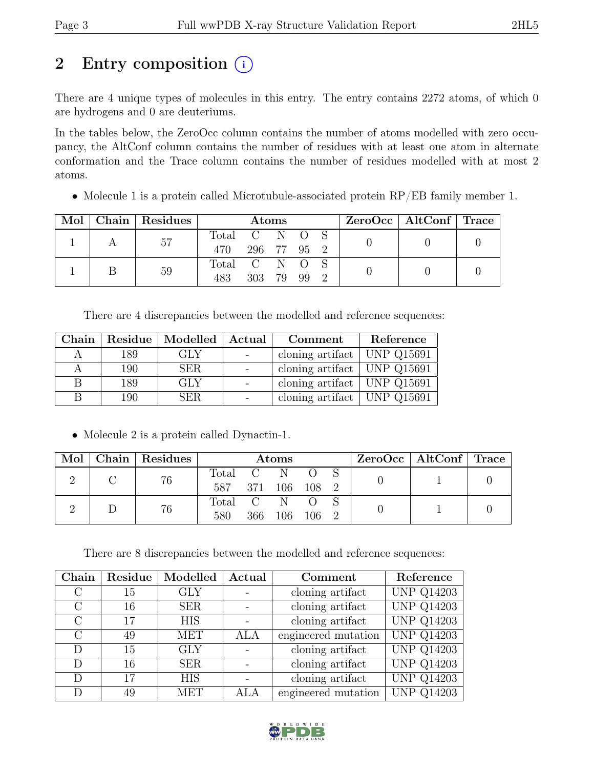## 2 Entry composition  $(i)$

There are 4 unique types of molecules in this entry. The entry contains 2272 atoms, of which 0 are hydrogens and 0 are deuteriums.

In the tables below, the ZeroOcc column contains the number of atoms modelled with zero occupancy, the AltConf column contains the number of residues with at least one atom in alternate conformation and the Trace column contains the number of residues modelled with at most 2 atoms.

• Molecule 1 is a protein called Microtubule-associated protein RP/EB family member 1.

|  | Mol   Chain   Residues | Atoms         |               |  |  | $ZeroOcc \mid AltConf \mid Trace$ |  |  |
|--|------------------------|---------------|---------------|--|--|-----------------------------------|--|--|
|  | 57                     |               | Total C N O S |  |  |                                   |  |  |
|  |                        | 470           | 296 77 95 2   |  |  |                                   |  |  |
|  | 59                     | Total C N O S |               |  |  |                                   |  |  |
|  |                        | 483           | 303 79 99     |  |  |                                   |  |  |

There are 4 discrepancies between the modelled and reference sequences:

| Chain | Residue | Modelled   Actual | Comment                                    | Reference |
|-------|---------|-------------------|--------------------------------------------|-----------|
|       | 189     | GLY               | cloning artifact   UNP $Q15691$            |           |
|       | 190     | <b>SER</b>        | cloning artifact   UNP $Q1\overline{5691}$ |           |
| В     | 189     | <b>GLY</b>        | cloning artifact   UNP $Q15691$            |           |
| R     | 190     | <b>SER</b>        | cloning artifact   UNP $Q15691$            |           |

• Molecule 2 is a protein called Dynactin-1.

| Mol | Chain Residues | $\rm{Atoms}$   |     |                      |       |  | ZeroOcc   AltConf   Trace |  |
|-----|----------------|----------------|-----|----------------------|-------|--|---------------------------|--|
|     | 76             | Total C<br>587 |     | - N<br>371 106 108 2 |       |  |                           |  |
|     | 76             | Total C<br>580 | 366 | 106                  | 106 2 |  |                           |  |

There are 8 discrepancies between the modelled and reference sequences:

| Chain   | Residue | Modelled   | Actual | Comment             | Reference         |
|---------|---------|------------|--------|---------------------|-------------------|
|         | 15      | <b>GLY</b> |        | cloning artifact    | <b>UNP Q14203</b> |
| $\rm C$ | 16      | <b>SER</b> |        | cloning artifact    | <b>UNP Q14203</b> |
| $\rm C$ | 17      | <b>HIS</b> |        | cloning artifact    | <b>UNP Q14203</b> |
| $\rm C$ | 49      | <b>MET</b> | ALA    | engineered mutation | <b>UNP Q14203</b> |
| D       | 15      | <b>GLY</b> |        | cloning artifact    | <b>UNP Q14203</b> |
| D       | 16      | <b>SER</b> |        | cloning artifact    | <b>UNP Q14203</b> |
| D       | 17      | <b>HIS</b> |        | cloning artifact    | <b>UNP Q14203</b> |
| D       | 49      | <b>MET</b> | ALA    | engineered mutation | <b>UNP Q14203</b> |

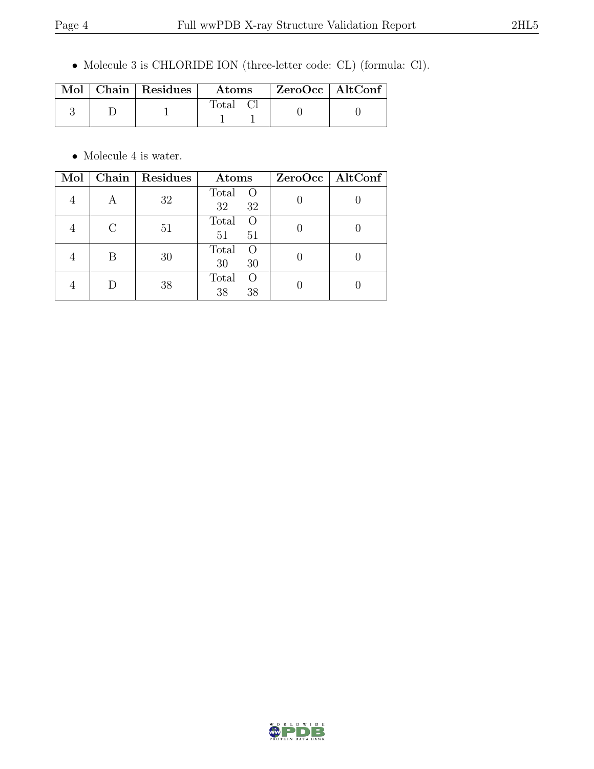• Molecule 3 is CHLORIDE ION (three-letter code: CL) (formula: Cl).

|  | Mol   Chain   Residues | Atoms              | $\mid$ ZeroOcc $\mid$ AltConf |  |
|--|------------------------|--------------------|-------------------------------|--|
|  |                        | Total <sub>C</sub> |                               |  |

 $\bullet\,$  Molecule 4 is water.

| Mol |   | Chain   Residues | Atoms                               | ZeroOcc   AltConf |
|-----|---|------------------|-------------------------------------|-------------------|
|     |   | 32               | Total<br>$\circ$<br>32<br>32        |                   |
|     | C | 51               | Total<br>$\overline{O}$<br>51<br>51 |                   |
|     | В | 30               | Total<br>$\Omega$<br>30<br>30       |                   |
|     |   | 38               | Total<br>$\bigcirc$<br>38<br>38     |                   |

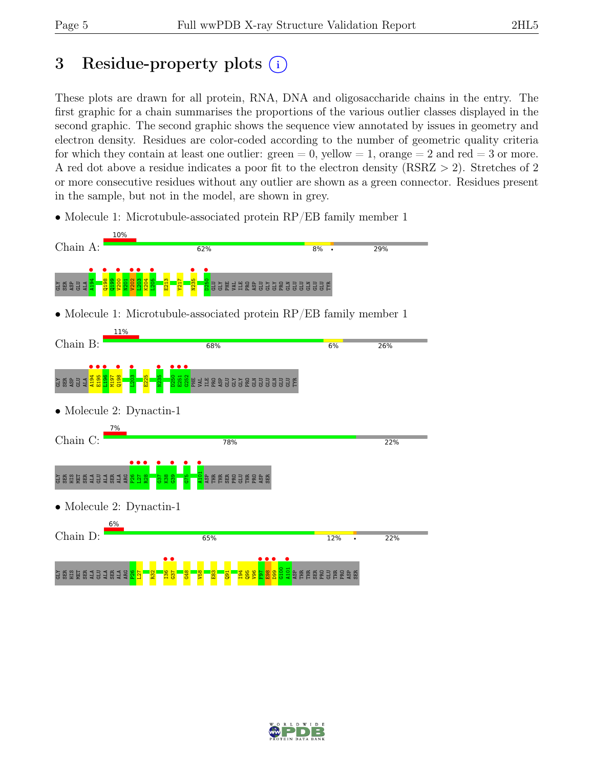### 3 Residue-property plots  $(i)$

These plots are drawn for all protein, RNA, DNA and oligosaccharide chains in the entry. The first graphic for a chain summarises the proportions of the various outlier classes displayed in the second graphic. The second graphic shows the sequence view annotated by issues in geometry and electron density. Residues are color-coded according to the number of geometric quality criteria for which they contain at least one outlier:  $green = 0$ , yellow  $= 1$ , orange  $= 2$  and red  $= 3$  or more. A red dot above a residue indicates a poor fit to the electron density (RSRZ > 2). Stretches of 2 or more consecutive residues without any outlier are shown as a green connector. Residues present in the sample, but not in the model, are shown in grey.

• Molecule 1: Microtubule-associated protein RP/EB family member 1



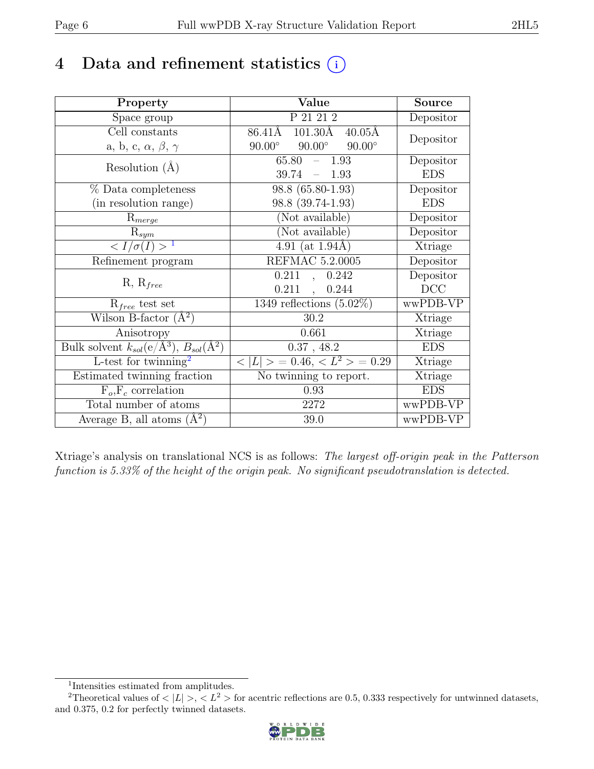## 4 Data and refinement statistics  $(i)$

| Property                                                             | Value                                           | <b>Source</b>  |
|----------------------------------------------------------------------|-------------------------------------------------|----------------|
| Space group                                                          | P 21 21 2                                       | Depositor      |
| $\overline{Cell}$ constants                                          | 86.41Å 101.30Å<br>$40.05\text{\AA}$             |                |
| a, b, c, $\alpha$ , $\beta$ , $\gamma$                               | $90.00^\circ$<br>$90.00^\circ$<br>$90.00^\circ$ | Depositor      |
| Resolution $(A)$                                                     | 65.80<br>1.93<br>$\equiv$ .                     | Depositor      |
|                                                                      | 39.74<br>$-1.93$                                | <b>EDS</b>     |
| % Data completeness                                                  | 98.8 (65.80-1.93)                               | Depositor      |
| (in resolution range)                                                | 98.8 (39.74-1.93)                               | <b>EDS</b>     |
| $R_{merge}$                                                          | (Not available)                                 | Depositor      |
| $\mathrm{R}_{sym}$                                                   | (Not available)                                 | Depositor      |
| $\langle I/\sigma(I) \rangle$ <sup>1</sup>                           | 4.91 (at $1.94$ Å)                              | Xtriage        |
| Refinement program                                                   | <b>REFMAC 5.2.0005</b>                          | Depositor      |
|                                                                      | 0.211<br>0.242<br>$\ddot{\phantom{0}}$          | Depositor      |
| $R, R_{free}$                                                        | $0.211$ ,<br>0.244                              | DCC            |
| $R_{free}$ test set                                                  | 1349 reflections $(5.02\%)$                     | wwPDB-VP       |
| Wilson B-factor $(A^2)$                                              | 30.2                                            | Xtriage        |
| Anisotropy                                                           | 0.661                                           | Xtriage        |
| Bulk solvent $k_{sol}(e/\mathring{A}^3)$ , $B_{sol}(\mathring{A}^2)$ | $0.37$ , 48.2                                   | <b>EDS</b>     |
| L-test for $\mathrm{twinning}^2$                                     | $< L >$ = 0.46, $< L2 >$ = 0.29                 | <b>Xtriage</b> |
| Estimated twinning fraction                                          | No twinning to report.                          | Xtriage        |
| $F_o, F_c$ correlation                                               | 0.93                                            | <b>EDS</b>     |
| Total number of atoms                                                | 2272                                            | wwPDB-VP       |
| Average B, all atoms $(A^2)$                                         | 39.0                                            | wwPDB-VP       |

Xtriage's analysis on translational NCS is as follows: The largest off-origin peak in the Patterson function is 5.33% of the height of the origin peak. No significant pseudotranslation is detected.

<sup>&</sup>lt;sup>2</sup>Theoretical values of  $\langle |L| \rangle$ ,  $\langle L^2 \rangle$  for acentric reflections are 0.5, 0.333 respectively for untwinned datasets, and 0.375, 0.2 for perfectly twinned datasets.



<span id="page-5-1"></span><span id="page-5-0"></span><sup>1</sup> Intensities estimated from amplitudes.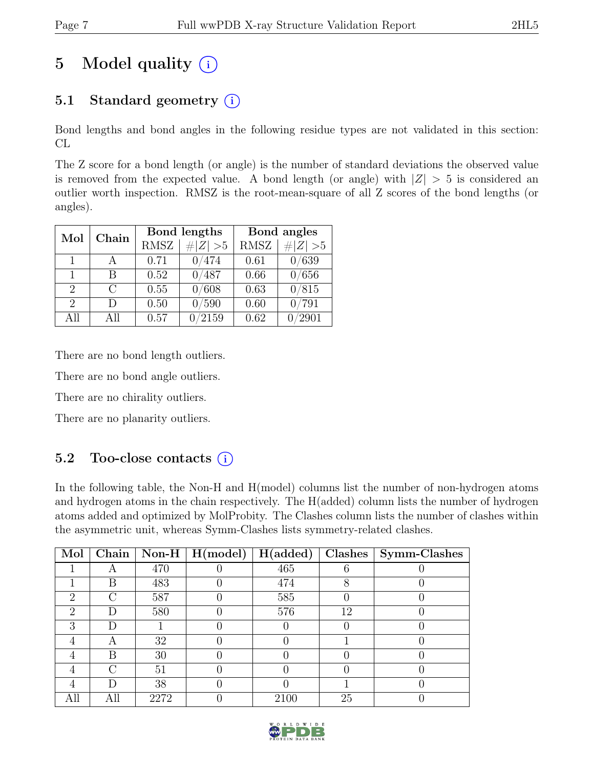## 5 Model quality  $(i)$

### 5.1 Standard geometry  $(i)$

Bond lengths and bond angles in the following residue types are not validated in this section: CL

The Z score for a bond length (or angle) is the number of standard deviations the observed value is removed from the expected value. A bond length (or angle) with  $|Z| > 5$  is considered an outlier worth inspection. RMSZ is the root-mean-square of all Z scores of the bond lengths (or angles).

| Mol                         | Chain                 |             | Bond lengths | Bond angles |                |  |
|-----------------------------|-----------------------|-------------|--------------|-------------|----------------|--|
|                             |                       | <b>RMSZ</b> | $\# Z  > 5$  | <b>RMSZ</b> | # $ Z  > 5$    |  |
| 1.                          |                       | 0.71        | 0/474        | 0.61        | 0/639          |  |
| 1                           | В                     | 0.52        | 0/487        | 0.66        | 0/656          |  |
| $\mathcal{D}_{\mathcal{L}}$ | $\mathcal{C}_{\cdot}$ | 0.55        | 0/608        | 0.63        | 0/815          |  |
| $\mathcal{D}_{\mathcal{L}}$ | D                     | 0.50        | 0/590        | 0.60        | $^{\prime}791$ |  |
| All                         | All                   | 0.57        | /2159        | 0.62        | '2901          |  |

There are no bond length outliers.

There are no bond angle outliers.

There are no chirality outliers.

There are no planarity outliers.

### 5.2 Too-close contacts (i)

In the following table, the Non-H and H(model) columns list the number of non-hydrogen atoms and hydrogen atoms in the chain respectively. The H(added) column lists the number of hydrogen atoms added and optimized by MolProbity. The Clashes column lists the number of clashes within the asymmetric unit, whereas Symm-Clashes lists symmetry-related clashes.

| Mol                         | Chain |      | Non-H $\mid$ H(model) | H(added) | Clashes | Symm-Clashes |
|-----------------------------|-------|------|-----------------------|----------|---------|--------------|
|                             |       | 470  |                       | 465      |         |              |
|                             | В     | 483  |                       | 474      |         |              |
| 2                           | €     | 587  |                       | 585      |         |              |
| $\mathcal{D}_{\mathcal{L}}$ | D     | 580  |                       | 576      | 12      |              |
| 3                           | I)    |      |                       |          |         |              |
|                             |       | 32   |                       |          |         |              |
|                             | В     | 30   |                       |          |         |              |
|                             | €     | 51   |                       |          |         |              |
|                             | I)    | 38   |                       |          |         |              |
|                             | Аll   | 2272 |                       | 2100     | 25      |              |

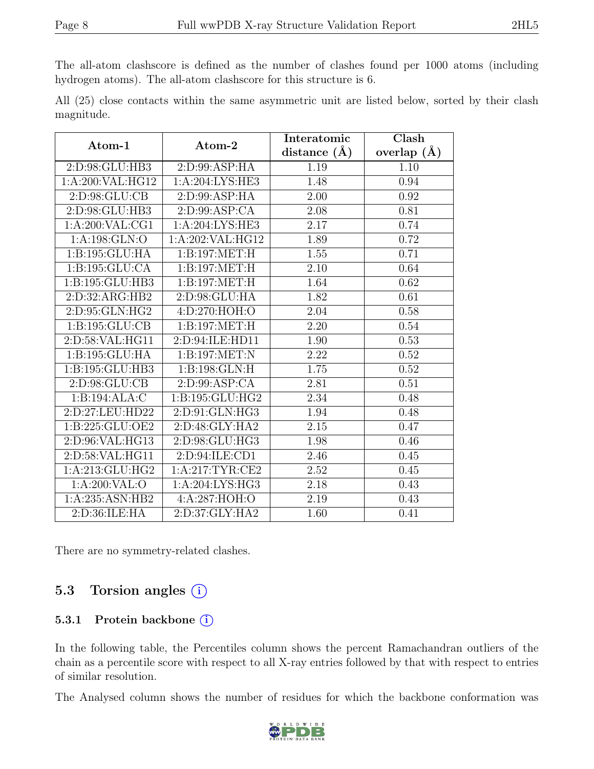The all-atom clashscore is defined as the number of clashes found per 1000 atoms (including hydrogen atoms). The all-atom clashscore for this structure is 6.

All (25) close contacts within the same asymmetric unit are listed below, sorted by their clash magnitude.

| Atom-1             | Atom-2             | Interatomic      | Clash         |
|--------------------|--------------------|------------------|---------------|
|                    |                    | distance $(\AA)$ | overlap $(A)$ |
| 2:D:98:GLU:HB3     | 2:D:99:ASP:HA      | 1.19             | 1.10          |
| 1:A:200:VAL:HG12   | 1:A:204:LYS:HE3    | 1.48             | 0.94          |
| 2: D: 98: GLU: CB  | 2: D: 99: ASP: HA  | 2.00             | 0.92          |
| 2:D:98:GLU:HB3     | 2: D:99: ASP:CA    | 2.08             | 0.81          |
| 1: A:200: VAL:CG1  | 1: A:204:LYS:HE3   | 2.17             | 0.74          |
| 1:A:198:GLN:O      | 1:A:202:VAL:HG12   | 1.89             | 0.72          |
| 1:B:195:GLU:HA     | 1:B:197:MET:H      | 1.55             | 0.71          |
| 1:B:195:GLU:CA     | 1:B:197:MET:H      | 2.10             | 0.64          |
| 1:B:195:GLU:HB3    | 1:B:197:MET:H      | 1.64             | 0.62          |
| 2:D:32:ARG:HB2     | 2:D:98:GLU:HA      | 1.82             | 0.61          |
| 2: D: 95: GLN: HG2 | 4:D:270:HOH:O      | 2.04             | 0.58          |
| 1: B: 195: GLU: CB | 1:B:197:MET:H      | 2.20             | 0.54          |
| 2:D:58:VAL:HG11    | 2:D:94:ILE:HD11    | 1.90             | 0.53          |
| 1:B:195:GLU:HA     | 1:B:197:MET:N      | 2.22             | 0.52          |
| 1:B:195:GLU:HB3    | 1:B:198:GLN:H      | $1.75\,$         | 0.52          |
| 2: D: 98: GLU: CB  | 2: D:99: ASP:CA    | 2.81             | 0.51          |
| 1:B:194:ALA:C      | 1:B:195:GLU:HG2    | 2.34             | 0.48          |
| 2:D:27:LEU:HD22    | 2: D: 91: GLN: HG3 | 1.94             | 0.48          |
| 1:B:225:GLU:OE2    | 2:D:48:GLY:HA2     | 2.15             | 0.47          |
| 2:D:96:VAL:HG13    | 2:D:98:GLU:HG3     | 1.98             | 0.46          |
| 2:D:58:VAL:HG11    | 2: D: 94: ILE: CD1 | 2.46             | 0.45          |
| 1: A:213: GLU: HG2 | 1:A:217:TYR:CE2    | 2.52             | 0.45          |
| 1:A:200:VAL:O      | 1: A:204: LYS: HG3 | 2.18             | 0.43          |
| 1:A:235:ASN:HB2    | 4:A:287:HOH:O      | 2.19             | 0.43          |
| 2: D:36: ILE: HA   | 2: D:37: GLY: HA2  | 1.60             | 0.41          |

There are no symmetry-related clashes.

### 5.3 Torsion angles  $(i)$

#### 5.3.1 Protein backbone  $(i)$

In the following table, the Percentiles column shows the percent Ramachandran outliers of the chain as a percentile score with respect to all X-ray entries followed by that with respect to entries of similar resolution.

The Analysed column shows the number of residues for which the backbone conformation was

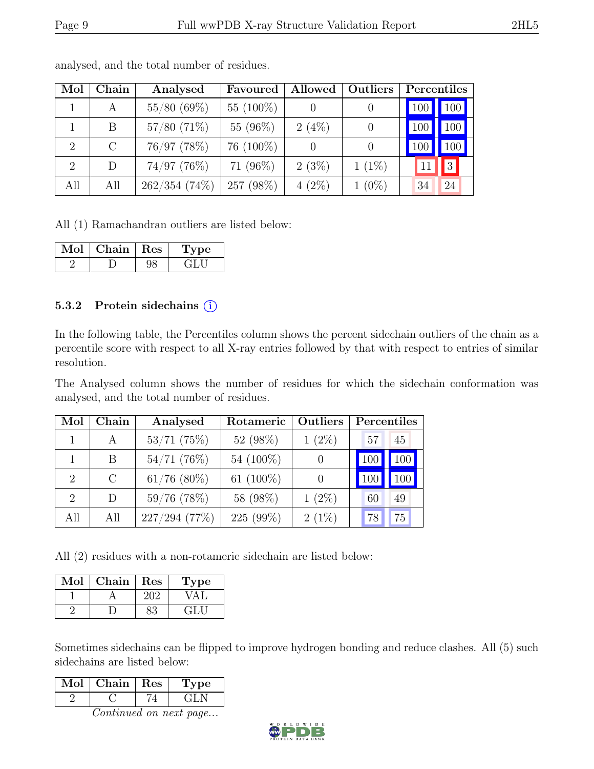| Mol            | Chain         | Analysed      | Favoured     | Allowed  | Outliers |     | Percentiles         |
|----------------|---------------|---------------|--------------|----------|----------|-----|---------------------|
|                | А             | 55/80(69%)    | 55 $(100\%)$ |          |          | 100 | $\vert$ 100 $\vert$ |
|                | B             | $57/80$ (71%) | 55 (96%)     | $2(4\%)$ |          | 100 | $100\vert$          |
| $\overline{2}$ | $\mathcal{C}$ | 76/97 (78%)   | $76(100\%)$  |          |          |     | 100                 |
| 2              | D             | $74/97$ (76%) | 71 $(96\%)$  | 2(3%)    | $1(1\%)$ |     | 3                   |
| All            | All           | 262/354(74%)  | 257 (98%)    | $4(2\%)$ | $1(0\%)$ | 34  | 24                  |

analysed, and the total number of residues.

All (1) Ramachandran outliers are listed below:

| Jol | Chain   Res | рe           |
|-----|-------------|--------------|
|     |             | . . <b>.</b> |

#### 5.3.2 Protein sidechains  $(i)$

In the following table, the Percentiles column shows the percent sidechain outliers of the chain as a percentile score with respect to all X-ray entries followed by that with respect to entries of similar resolution.

The Analysed column shows the number of residues for which the sidechain conformation was analysed, and the total number of residues.

| Mol                         | Chain   | Analysed         | Rotameric | <b>Outliers</b> | Percentiles |     |
|-----------------------------|---------|------------------|-----------|-----------------|-------------|-----|
|                             | A       | $53/71$ (75%)    | 52 (98%)  | $1(2\%)$        | 57          | 45  |
|                             | В       | $54/71$ (76%)    | 54 (100%) |                 | 100         | 100 |
| $\overline{2}$              | $\rm C$ | $61/76$ $(80\%)$ | 61 (100%) |                 | 100         | 100 |
| $\mathcal{D}_{\mathcal{L}}$ | D       | $59/76$ (78%)    | 58 (98%)  | $1(2\%)$        | 60          | 49  |
| All                         | All     | 227/294(77%)     | 225 (99%) | $2(1\%)$        | 78          | 75  |

All (2) residues with a non-rotameric sidechain are listed below:

| Mol | ${\rm Chain}$ | Res | ype |
|-----|---------------|-----|-----|
|     |               |     |     |
|     |               |     |     |

Sometimes sidechains can be flipped to improve hydrogen bonding and reduce clashes. All (5) such sidechains are listed below:

| Mol | Chain | Res | vpe |
|-----|-------|-----|-----|
|     |       |     |     |

Continued on next page...

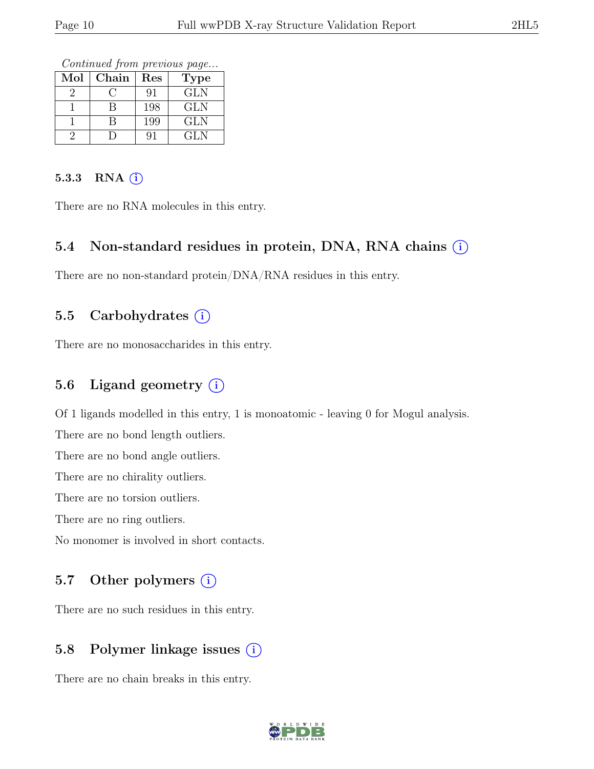Continued from previous page...

| Mol | Chain | Res | Type       |
|-----|-------|-----|------------|
|     |       | 91  | <b>GLN</b> |
|     |       | 198 | GLN        |
|     |       | 199 | GLN        |
|     |       |     | GLN        |

#### 5.3.3 RNA  $(i)$

There are no RNA molecules in this entry.

#### 5.4 Non-standard residues in protein, DNA, RNA chains  $\circ$

There are no non-standard protein/DNA/RNA residues in this entry.

#### 5.5 Carbohydrates  $(i)$

There are no monosaccharides in this entry.

#### 5.6 Ligand geometry  $(i)$

Of 1 ligands modelled in this entry, 1 is monoatomic - leaving 0 for Mogul analysis.

There are no bond length outliers.

There are no bond angle outliers.

There are no chirality outliers.

There are no torsion outliers.

There are no ring outliers.

No monomer is involved in short contacts.

#### 5.7 Other polymers  $(i)$

There are no such residues in this entry.

#### 5.8 Polymer linkage issues (i)

There are no chain breaks in this entry.

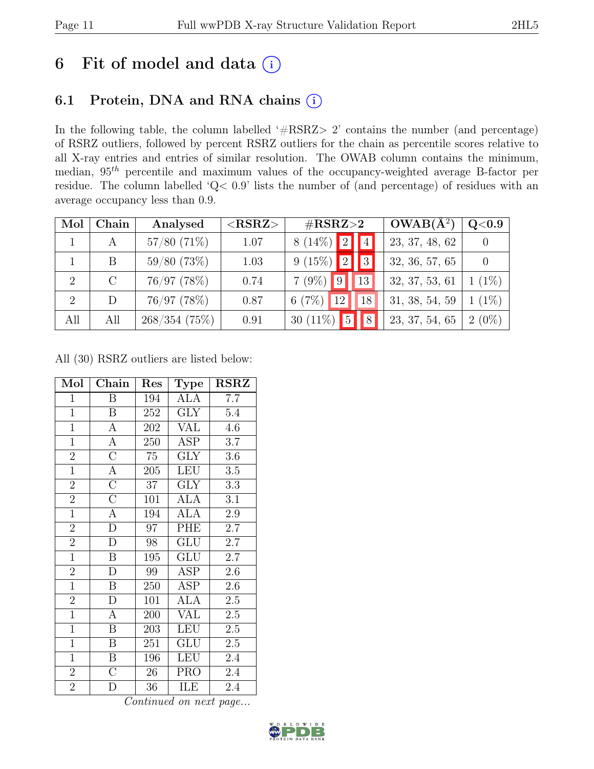## 6 Fit of model and data  $(i)$

### 6.1 Protein, DNA and RNA chains (i)

In the following table, the column labelled ' $\#\text{RSRZ}>2$ ' contains the number (and percentage) of RSRZ outliers, followed by percent RSRZ outliers for the chain as percentile scores relative to all X-ray entries and entries of similar resolution. The OWAB column contains the minimum, median,  $95<sup>th</sup>$  percentile and maximum values of the occupancy-weighted average B-factor per residue. The column labelled 'Q< 0.9' lists the number of (and percentage) of residues with an average occupancy less than 0.9.

| Mol | Chain | Analysed      | ${ <\hspace{-1.5pt}{\mathrm{RSRZ}} \hspace{-1.5pt}>}$ | $\#\text{RSRZ}\text{>2}$      | $OWAB(A^2)$    | Q <sub>0.9</sub> |
|-----|-------|---------------|-------------------------------------------------------|-------------------------------|----------------|------------------|
|     | A     | $57/80$ (71%) | 1.07                                                  | $8(14\%)$<br> 2               | 23, 37, 48, 62 |                  |
|     | B     | 59/80(73%)    | 1.03                                                  | 9(15%)<br> 2 <br>3            | 32, 36, 57, 65 |                  |
| 2   |       | 76/97 (78%)   | 0.74                                                  | $7(9\%)$<br>13 <sub>1</sub>   | 32, 37, 53, 61 | $(1\%)$          |
| 2   | D     | 76/97 (78%)   | 0.87                                                  | 6(7%)<br>12<br>18             | 31, 38, 54, 59 | $(1\%)$          |
| All | All   | 268/354(75%)  | 0.91                                                  | $\overline{5}$<br>30 $(11\%)$ | 23, 37, 54, 65 | $2(0\%)$         |

All (30) RSRZ outliers are listed below:

| Mol            | Chain                   | Res             | <b>Type</b>             | <b>RSRZ</b> |
|----------------|-------------------------|-----------------|-------------------------|-------------|
| $\mathbf{1}$   | B                       | 194             | ALA                     | 7.7         |
| $\overline{1}$ | $\, {\bf B}$            | 252             | <b>GLY</b>              | $5.4\,$     |
| $\overline{1}$ | $\overline{A}$          | 202             | <b>VAL</b>              | 4.6         |
| $\mathbf{1}$   | $\overline{A}$          | 250             | ASP                     | 3.7         |
| $\overline{2}$ | $\overline{\rm C}$      | $75\,$          | $\overline{\text{GLY}}$ | 3.6         |
| $\overline{1}$ | $\overline{A}$          | 205             | <b>LEU</b>              | $3.5\,$     |
| $\overline{2}$ | $\overline{C}$          | 37              | <b>GLY</b>              | 3.3         |
| $\overline{2}$ | $\overline{\rm C}$      | 101             | ALA                     | 3.1         |
| $\overline{1}$ | $\overline{A}$          | 194             | <b>ALA</b>              | 2.9         |
| $\overline{2}$ | $\overline{\rm D}$      | $\overline{97}$ | PHE                     | 2.7         |
| $\overline{2}$ | D                       | 98              | <b>GLU</b>              | 2.7         |
| $\overline{1}$ | $\overline{\mathrm{B}}$ | 195             | GLU                     | 2.7         |
| $\overline{2}$ | $\mathbf{D}$            | 99              | <b>ASP</b>              | 2.6         |
| $\mathbf{1}$   | $\, {\bf B}$            | 250             | ASP                     | 2.6         |
| $\overline{2}$ | $\mathbf{D}$            | 101             | <b>ALA</b>              | $2.5\,$     |
| $\overline{1}$ | $\mathbf{A}$            | 200             | $\overline{\text{VAL}}$ | $2.5\,$     |
| $\overline{1}$ | $\overline{\mathrm{B}}$ | 203             | <b>LEU</b>              | $2.5\,$     |
| $\mathbf{1}$   | B                       | 251             | GLU                     | 2.5         |
| $\mathbf{1}$   | $\, {\bf B}$            | 196             | <b>LEU</b>              | 2.4         |
| $\overline{2}$ | $\overline{C}$          | $26\,$          | <b>PRO</b>              | 2.4         |
| $\overline{2}$ | D                       | 36              | ILE                     | 2.4         |

Continued on next page...